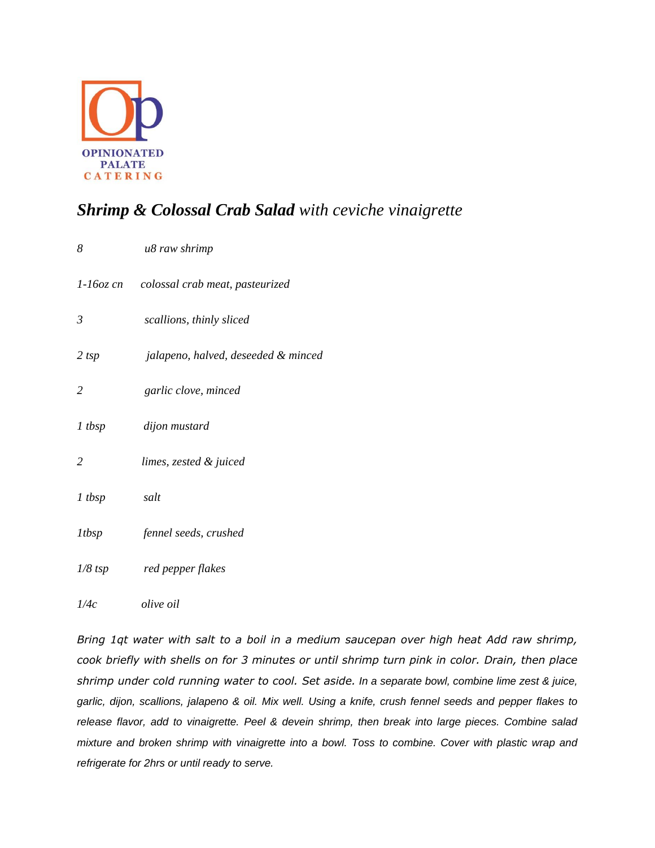

## *Shrimp & Colossal Crab Salad with ceviche vinaigrette*

| 8              | u8 raw shrimp                             |
|----------------|-------------------------------------------|
|                | 1-16oz cn colossal crab meat, pasteurized |
| $\mathfrak{Z}$ | scallions, thinly sliced                  |
| $2$ tsp        | jalapeno, halved, deseeded & minced       |
| $\overline{2}$ | garlic clove, minced                      |
| $1$ tbsp       | dijon mustard                             |
| $\overline{2}$ | limes, zested & juiced                    |
| $1$ tbsp       | salt                                      |
| <i>ltbsp</i>   | fennel seeds, crushed                     |
| $1/8$ tsp      | red pepper flakes                         |
| 1/4c           | <i>olive oil</i>                          |

*Bring 1qt water with salt to a boil in a medium saucepan over high heat Add raw shrimp, cook briefly with shells on for 3 minutes or until shrimp turn pink in color. Drain, then place shrimp under cold running water to cool. Set aside. In a separate bowl, combine lime zest & juice, garlic, dijon, scallions, jalapeno & oil. Mix well. Using a knife, crush fennel seeds and pepper flakes to release flavor, add to vinaigrette. Peel & devein shrimp, then break into large pieces. Combine salad mixture and broken shrimp with vinaigrette into a bowl. Toss to combine. Cover with plastic wrap and refrigerate for 2hrs or until ready to serve.*